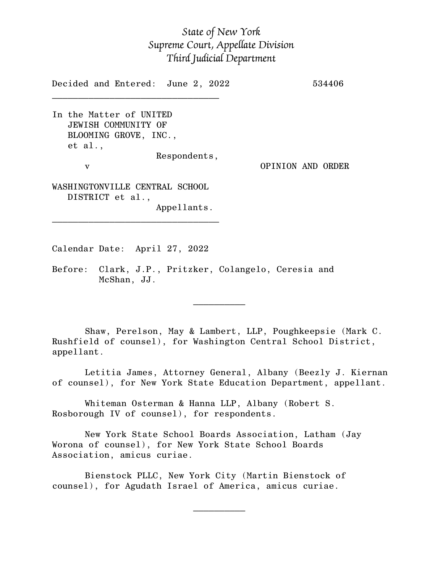## *State of New York Supreme Court, Appellate Division Third Judicial Department*

Decided and Entered: June 2, 2022 534406

In the Matter of UNITED JEWISH COMMUNITY OF BLOOMING GROVE, INC., et al., Respondents, v OPINION AND ORDER

 $\mathcal{L}_\text{max}$ 

WASHINGTONVILLE CENTRAL SCHOOL DISTRICT et al., Appellants.

\_\_\_\_\_\_\_\_\_\_\_\_\_\_\_\_\_\_\_\_\_\_\_\_\_\_\_\_\_\_\_\_

Calendar Date: April 27, 2022

 $\mathcal{L}_\text{max}$  and  $\mathcal{L}_\text{max}$  are the set of  $\mathcal{L}_\text{max}$  . The set of  $\mathcal{L}_\text{max}$ 

 $\mathcal{L}_\text{max}$  and  $\mathcal{L}_\text{max}$  are the set of  $\mathcal{L}_\text{max}$  . The set of  $\mathcal{L}_\text{max}$ 

Before: Clark, J.P., Pritzker, Colangelo, Ceresia and McShan, JJ.

Shaw, Perelson, May & Lambert, LLP, Poughkeepsie (Mark C. Rushfield of counsel), for Washington Central School District, appellant.

Letitia James, Attorney General, Albany (Beezly J. Kiernan of counsel), for New York State Education Department, appellant.

Whiteman Osterman & Hanna LLP, Albany (Robert S. Rosborough IV of counsel), for respondents.

New York State School Boards Association, Latham (Jay Worona of counsel), for New York State School Boards Association, amicus curiae.

Bienstock PLLC, New York City (Martin Bienstock of counsel), for Agudath Israel of America, amicus curiae.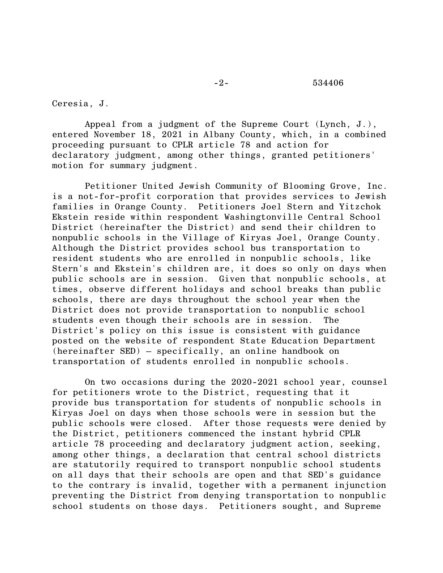## $-2 - 534406$

Ceresia, J.

Appeal from a judgment of the Supreme Court (Lynch, J.), entered November 18, 2021 in Albany County, which, in a combined proceeding pursuant to CPLR article 78 and action for declaratory judgment, among other things, granted petitioners' motion for summary judgment.

Petitioner United Jewish Community of Blooming Grove, Inc. is a not-for-profit corporation that provides services to Jewish families in Orange County. Petitioners Joel Stern and Yitzchok Ekstein reside within respondent Washingtonville Central School District (hereinafter the District) and send their children to nonpublic schools in the Village of Kiryas Joel, Orange County. Although the District provides school bus transportation to resident students who are enrolled in nonpublic schools, like Stern's and Ekstein's children are, it does so only on days when public schools are in session. Given that nonpublic schools, at times, observe different holidays and school breaks than public schools, there are days throughout the school year when the District does not provide transportation to nonpublic school students even though their schools are in session. The District's policy on this issue is consistent with guidance posted on the website of respondent State Education Department (hereinafter SED) – specifically, an online handbook on transportation of students enrolled in nonpublic schools.

On two occasions during the 2020-2021 school year, counsel for petitioners wrote to the District, requesting that it provide bus transportation for students of nonpublic schools in Kiryas Joel on days when those schools were in session but the public schools were closed. After those requests were denied by the District, petitioners commenced the instant hybrid CPLR article 78 proceeding and declaratory judgment action, seeking, among other things, a declaration that central school districts are statutorily required to transport nonpublic school students on all days that their schools are open and that SED's guidance to the contrary is invalid, together with a permanent injunction preventing the District from denying transportation to nonpublic school students on those days. Petitioners sought, and Supreme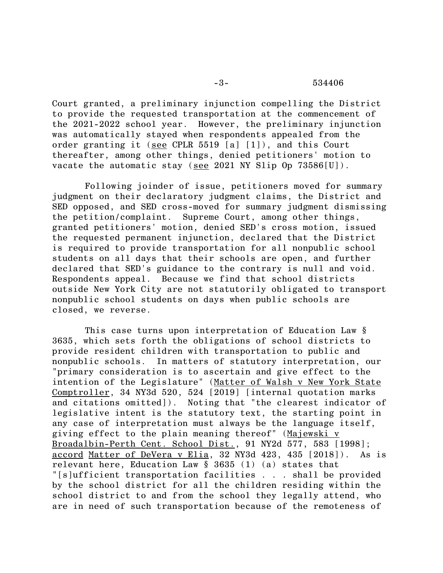Court granted, a preliminary injunction compelling the District to provide the requested transportation at the commencement of the 2021-2022 school year. However, the preliminary injunction was automatically stayed when respondents appealed from the order granting it (see CPLR 5519 [a] [1]), and this Court thereafter, among other things, denied petitioners' motion to vacate the automatic stay (see 2021 NY Slip Op 73586[U]).

Following joinder of issue, petitioners moved for summary judgment on their declaratory judgment claims, the District and SED opposed, and SED cross-moved for summary judgment dismissing the petition/complaint. Supreme Court, among other things, granted petitioners' motion, denied SED's cross motion, issued the requested permanent injunction, declared that the District is required to provide transportation for all nonpublic school students on all days that their schools are open, and further declared that SED's guidance to the contrary is null and void. Respondents appeal. Because we find that school districts outside New York City are not statutorily obligated to transport nonpublic school students on days when public schools are closed, we reverse.

This case turns upon interpretation of Education Law § 3635, which sets forth the obligations of school districts to provide resident children with transportation to public and nonpublic schools. In matters of statutory interpretation, our "primary consideration is to ascertain and give effect to the intention of the Legislature" (Matter of Walsh v New York State Comptroller, 34 NY3d 520, 524 [2019] [internal quotation marks and citations omitted]). Noting that "the clearest indicator of legislative intent is the statutory text, the starting point in any case of interpretation must always be the language itself, giving effect to the plain meaning thereof" (Majewski v Broadalbin-Perth Cent. School Dist., 91 NY2d 577, 583 [1998]; accord Matter of DeVera v Elia, 32 NY3d 423, 435 [2018]). As is relevant here, Education Law § 3635 (1) (a) states that "[s]ufficient transportation facilities . . . shall be provided by the school district for all the children residing within the school district to and from the school they legally attend, who are in need of such transportation because of the remoteness of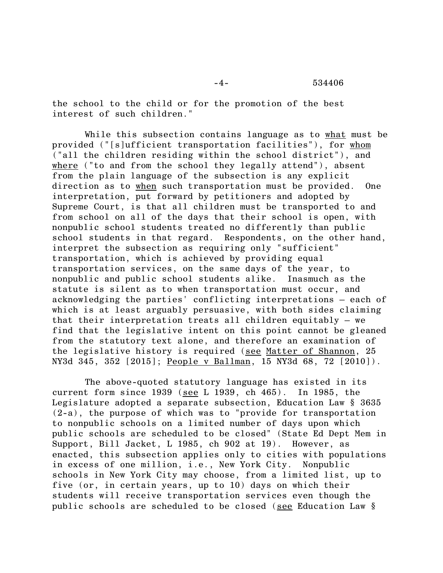the school to the child or for the promotion of the best interest of such children."

While this subsection contains language as to what must be provided ("[s]ufficient transportation facilities"), for whom ("all the children residing within the school district"), and where ("to and from the school they legally attend"), absent from the plain language of the subsection is any explicit direction as to when such transportation must be provided. One interpretation, put forward by petitioners and adopted by Supreme Court, is that all children must be transported to and from school on all of the days that their school is open, with nonpublic school students treated no differently than public school students in that regard. Respondents, on the other hand, interpret the subsection as requiring only "sufficient" transportation, which is achieved by providing equal transportation services, on the same days of the year, to nonpublic and public school students alike. Inasmuch as the statute is silent as to when transportation must occur, and acknowledging the parties' conflicting interpretations – each of which is at least arguably persuasive, with both sides claiming that their interpretation treats all children equitably – we find that the legislative intent on this point cannot be gleaned from the statutory text alone, and therefore an examination of the legislative history is required (see Matter of Shannon, 25 NY3d 345, 352 [2015]; People v Ballman, 15 NY3d 68, 72 [2010]).

The above-quoted statutory language has existed in its current form since 1939 (see L 1939, ch 465). In 1985, the Legislature adopted a separate subsection, Education Law § 3635 (2-a), the purpose of which was to "provide for transportation to nonpublic schools on a limited number of days upon which public schools are scheduled to be closed" (State Ed Dept Mem in Support, Bill Jacket, L 1985, ch 902 at 19). However, as enacted, this subsection applies only to cities with populations in excess of one million, i.e., New York City. Nonpublic schools in New York City may choose, from a limited list, up to five (or, in certain years, up to 10) days on which their students will receive transportation services even though the public schools are scheduled to be closed (see Education Law §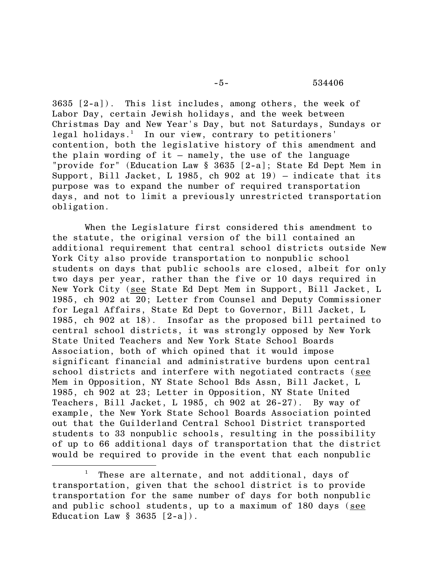3635 [2-a]). This list includes, among others, the week of Labor Day, certain Jewish holidays, and the week between Christmas Day and New Year's Day, but not Saturdays, Sundays or legal holidays. <sup>1</sup> In our view, contrary to petitioners' contention, both the legislative history of this amendment and the plain wording of it  $-$  namely, the use of the language "provide for" (Education Law § 3635 [2-a]; State Ed Dept Mem in Support, Bill Jacket, L 1985, ch 902 at 19) – indicate that its purpose was to expand the number of required transportation days, and not to limit a previously unrestricted transportation obligation.

When the Legislature first considered this amendment to the statute, the original version of the bill contained an additional requirement that central school districts outside New York City also provide transportation to nonpublic school students on days that public schools are closed, albeit for only two days per year, rather than the five or 10 days required in New York City (see State Ed Dept Mem in Support, Bill Jacket, L 1985, ch 902 at 20; Letter from Counsel and Deputy Commissioner for Legal Affairs, State Ed Dept to Governor, Bill Jacket, L 1985, ch 902 at 18). Insofar as the proposed bill pertained to central school districts, it was strongly opposed by New York State United Teachers and New York State School Boards Association, both of which opined that it would impose significant financial and administrative burdens upon central school districts and interfere with negotiated contracts (see Mem in Opposition, NY State School Bds Assn, Bill Jacket, L 1985, ch 902 at 23; Letter in Opposition, NY State United Teachers, Bill Jacket, L 1985, ch 902 at 26-27). By way of example, the New York State School Boards Association pointed out that the Guilderland Central School District transported students to 33 nonpublic schools, resulting in the possibility of up to 66 additional days of transportation that the district would be required to provide in the event that each nonpublic

These are alternate, and not additional, days of transportation, given that the school district is to provide transportation for the same number of days for both nonpublic and public school students, up to a maximum of 180 days (see Education Law  $\S$  3635  $[2-a]$ .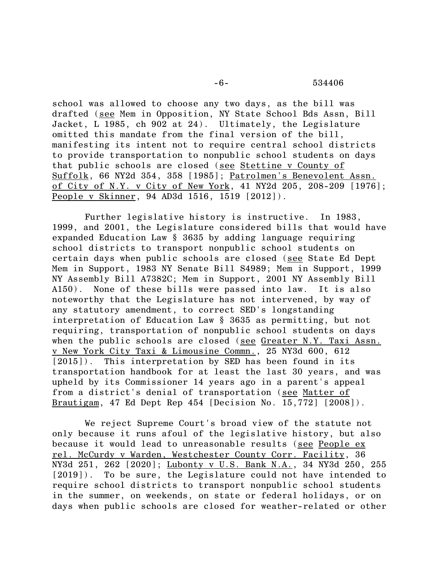school was allowed to choose any two days, as the bill was drafted (see Mem in Opposition, NY State School Bds Assn, Bill Jacket, L 1985, ch 902 at 24). Ultimately, the Legislature omitted this mandate from the final version of the bill, manifesting its intent not to require central school districts to provide transportation to nonpublic school students on days that public schools are closed (see Stettine v County of Suffolk, 66 NY2d 354, 358 [1985]; Patrolmen's Benevolent Assn. of City of N.Y. v City of New York, 41 NY2d 205, 208-209 [1976]; People v Skinner, 94 AD3d 1516, 1519 [2012]).

Further legislative history is instructive. In 1983, 1999, and 2001, the Legislature considered bills that would have expanded Education Law § 3635 by adding language requiring school districts to transport nonpublic school students on certain days when public schools are closed (see State Ed Dept Mem in Support, 1983 NY Senate Bill S4989; Mem in Support, 1999 NY Assembly Bill A7382C; Mem in Support, 2001 NY Assembly Bill A150). None of these bills were passed into law. It is also noteworthy that the Legislature has not intervened, by way of any statutory amendment, to correct SED's longstanding interpretation of Education Law § 3635 as permitting, but not requiring, transportation of nonpublic school students on days when the public schools are closed (see Greater N.Y. Taxi Assn. v New York City Taxi & Limousine Commn., 25 NY3d 600, 612 [2015]). This interpretation by SED has been found in its transportation handbook for at least the last 30 years, and was upheld by its Commissioner 14 years ago in a parent's appeal from a district's denial of transportation (see Matter of Brautigam, 47 Ed Dept Rep 454 [Decision No. 15,772] [2008]).

We reject Supreme Court's broad view of the statute not only because it runs afoul of the legislative history, but also because it would lead to unreasonable results (see People ex rel. McCurdy v Warden, Westchester County Corr. Facility, 36 NY3d 251, 262 [2020]; Lubonty v U.S. Bank N.A., 34 NY3d 250, 255 [2019]). To be sure, the Legislature could not have intended to require school districts to transport nonpublic school students in the summer, on weekends, on state or federal holidays, or on days when public schools are closed for weather-related or other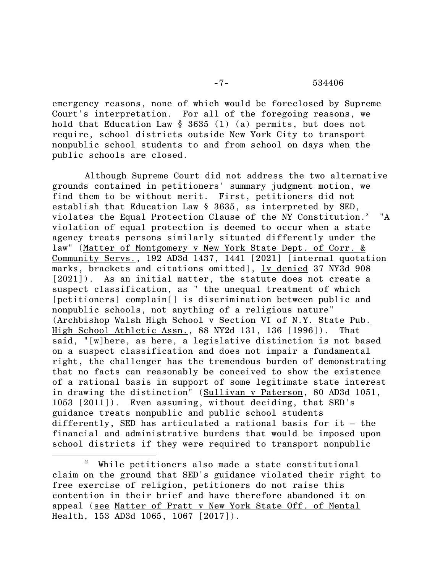## -7- 534406

emergency reasons, none of which would be foreclosed by Supreme Court's interpretation. For all of the foregoing reasons, we hold that Education Law § 3635 (1) (a) permits, but does not require, school districts outside New York City to transport nonpublic school students to and from school on days when the public schools are closed.

Although Supreme Court did not address the two alternative grounds contained in petitioners' summary judgment motion, we find them to be without merit. First, petitioners did not establish that Education Law § 3635, as interpreted by SED, violates the Equal Protection Clause of the NY Constitution.<sup>2</sup> "A violation of equal protection is deemed to occur when a state agency treats persons similarly situated differently under the law" (Matter of Montgomery v New York State Dept. of Corr. & Community Servs., 192 AD3d 1437, 1441 [2021] [internal quotation marks, brackets and citations omitted], lv denied 37 NY3d 908 [2021]). As an initial matter, the statute does not create a suspect classification, as " the unequal treatment of which [petitioners] complain[] is discrimination between public and nonpublic schools, not anything of a religious nature" (Archbishop Walsh High School v Section VI of N.Y. State Pub. High School Athletic Assn., 88 NY2d 131, 136 [1996]). That said, "[w]here, as here, a legislative distinction is not based on a suspect classification and does not impair a fundamental right, the challenger has the tremendous burden of demonstrating that no facts can reasonably be conceived to show the existence of a rational basis in support of some legitimate state interest in drawing the distinction" (Sullivan v Paterson, 80 AD3d 1051, 1053 [2011]). Even assuming, without deciding, that SED's guidance treats nonpublic and public school students differently, SED has articulated a rational basis for it – the financial and administrative burdens that would be imposed upon school districts if they were required to transport nonpublic

<sup>2</sup> While petitioners also made a state constitutional claim on the ground that SED's guidance violated their right to free exercise of religion, petitioners do not raise this contention in their brief and have therefore abandoned it on appeal (see Matter of Pratt v New York State Off. of Mental Health, 153 AD3d 1065, 1067 [2017]).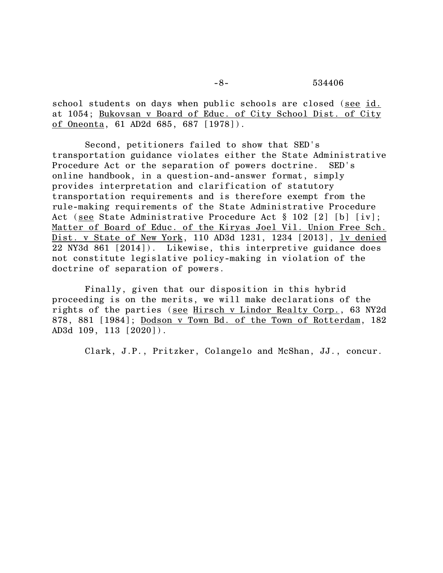school students on days when public schools are closed (see id. at 1054; Bukovsan v Board of Educ. of City School Dist. of City of Oneonta, 61 AD2d 685, 687 [1978]).

Second, petitioners failed to show that SED's transportation guidance violates either the State Administrative Procedure Act or the separation of powers doctrine. SED's online handbook, in a question-and-answer format, simply provides interpretation and clarification of statutory transportation requirements and is therefore exempt from the rule-making requirements of the State Administrative Procedure Act (see State Administrative Procedure Act § 102 [2] [b] [iv]; Matter of Board of Educ. of the Kiryas Joel Vil. Union Free Sch. Dist. v State of New York, 110 AD3d 1231, 1234 [2013], lv denied 22 NY3d 861 [2014]). Likewise, this interpretive guidance does not constitute legislative policy-making in violation of the doctrine of separation of powers.

Finally, given that our disposition in this hybrid proceeding is on the merits, we will make declarations of the rights of the parties (see Hirsch v Lindor Realty Corp., 63 NY2d 878, 881 [1984]; Dodson v Town Bd. of the Town of Rotterdam, 182 AD3d 109, 113 [2020]).

Clark, J.P., Pritzker, Colangelo and McShan, JJ., concur.